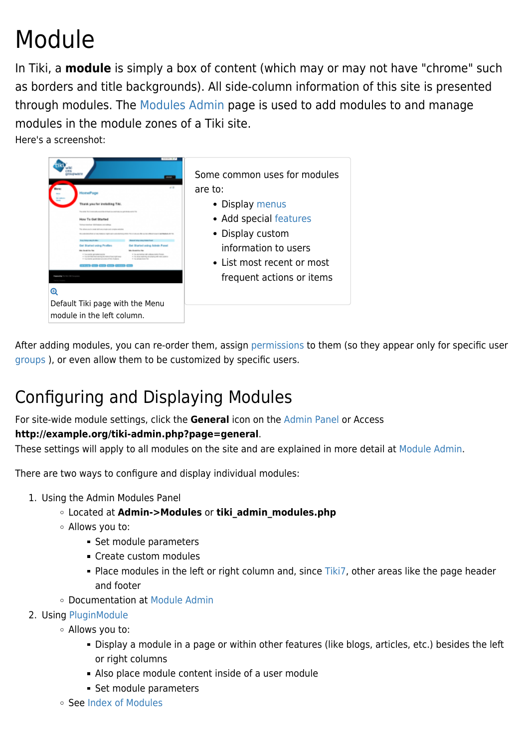# Module

In Tiki, a **module** is simply a box of content (which may or may not have "chrome" such as borders and title backgrounds). All side-column information of this site is presented through modules. The [Modules Admin](https://doc.tiki.org/Modules-Admin) page is used to add modules to and manage modules in the module zones of a Tiki site.

Here's a screenshot:



After adding modules, you can re-order them, assign [permissions](https://doc.tiki.org/Permissions) to them (so they appear only for specific user [groups](https://doc.tiki.org/Groups) ), or even allow them to be customized by specific users.

### Configuring and Displaying Modules

For site-wide module settings, click the **General** icon on the [Admin Panel](https://doc.tiki.org/Admin-Panels) or Access

### **http://example.org/tiki-admin.php?page=general**.

These settings will apply to all modules on the site and are explained in more detail at [Module Admin](https://doc.tiki.org/Module-Admin).

There are two ways to configure and display individual modules:

- 1. Using the Admin Modules Panel
	- Located at **Admin->Modules** or **tiki\_admin\_modules.php**
	- Allows you to:
		- Set module parameters
		- Create custom modules
		- Place modules in the left or right column and, since [Tiki7](https://doc.tiki.org/Tiki7), other areas like the page header and footer
	- Documentation at [Module Admin](https://doc.tiki.org/Module-Admin)
- 2. Using [PluginModule](https://doc.tiki.org/PluginModule)
	- Allows you to:
		- Display a module in a page or within other features (like blogs, articles, etc.) besides the left or right columns
		- Also place module content inside of a user module
		- Set module parameters
	- See [Index of Modules](https://doc.tiki.org/Index-of-Modules)